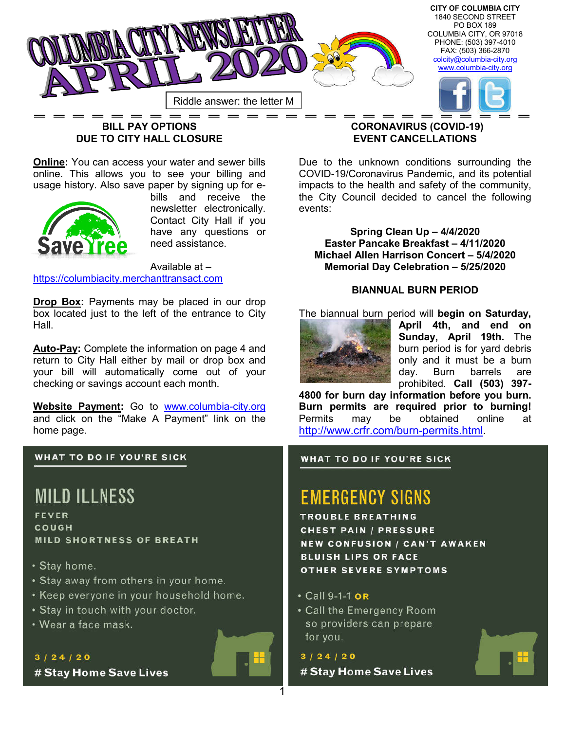

# **BILL PAY OPTIONS DUE TO CITY HALL CLOSURE**

**Online:** You can access your water and sewer bills online. This allows you to see your billing and usage history. Also save paper by signing up for e-



bills and receive the newsletter electronically. Contact City Hall if you have any questions or need assistance.

Available at – https://columbiacity.merchanttransact.com

**Drop Box:** Payments may be placed in our drop box located just to the left of the entrance to City Hall.

**Auto-Pay:** Complete the information on page 4 and return to City Hall either by mail or drop box and your bill will automatically come out of your checking or savings account each month.

**Website Payment:** Go to www.columbia-city.org and click on the "Make A Payment" link on the home page.

#### **WHAT TO DO IF YOU'RE SICK**

# **MILD ILLNESS**

FEVER COUGH **MILD SHORTNESS OF BREATH** 

- Stay home.
- Stay away from others in your home.
- Keep everyone in your household home.
- Stay in touch with your doctor.
- Wear a face mask.

## $3/24/20$ # Stay Home Save Lives



### **CORONAVIRUS (COVID-19) EVENT CANCELLATIONS**

Due to the unknown conditions surrounding the COVID-19/Coronavirus Pandemic, and its potential impacts to the health and safety of the community, the City Council decided to cancel the following events:

**Spring Clean Up – 4/4/2020 Easter Pancake Breakfast – 4/11/2020 Michael Allen Harrison Concert – 5/4/2020 Memorial Day Celebration – 5/25/2020**

#### **BIANNUAL BURN PERIOD**

The biannual burn period will **begin on Saturday,** 



**April 4th, and end on Sunday, April 19th.** The burn period is for yard debris only and it must be a burn day. Burn barrels are prohibited. **Call (503) 397-**

**4800 for burn day information before you burn. Burn permits are required prior to burning!** Permits may be obtained online at http://www.crfr.com/burn-permits.html.

#### **WHAT TO DO IF YOU'RE SICK**

# **EMERGENCY SIGNS**

**TROUBLE BREATHING CHEST PAIN / PRESSURE NEW CONFUSION / CAN'T AWAKEN BLUISH LIPS OR FACE OTHER SEVERE SYMPTOMS** 

#### • Call 9-1-1 OR

• Call the Emergency Room so providers can prepare for you.

 $3/24/20$ # Stay Home Save Lives

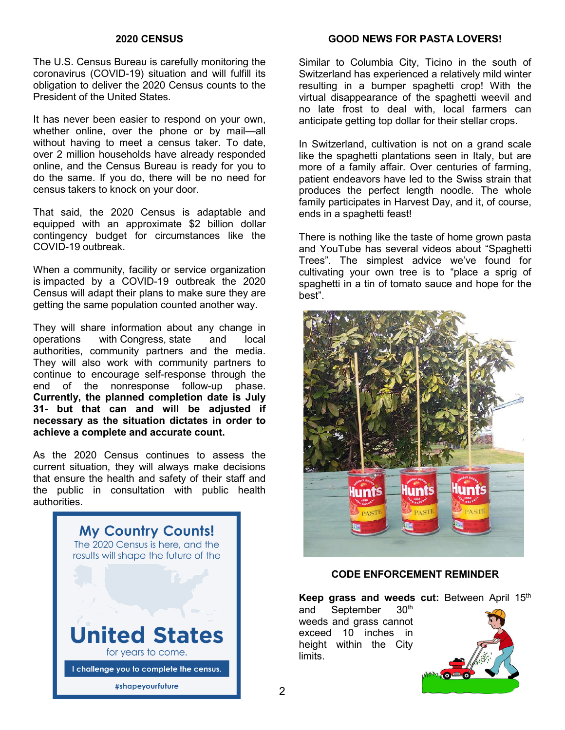#### **2020 CENSUS**

The U.S. Census Bureau is carefully monitoring the coronavirus (COVID-19) situation and will fulfill its obligation to deliver the 2020 Census counts to the President of the United States.

It has never been easier to respond on your own, whether online, over the phone or by mail—all without having to meet a census taker. To date, over 2 million households have already responded online, and the Census Bureau is ready for you to do the same. If you do, there will be no need for census takers to knock on your door.

That said, the 2020 Census is adaptable and equipped with an approximate \$2 billion dollar contingency budget for circumstances like the COVID-19 outbreak.

When a community, facility or service organization is impacted by a COVID-19 outbreak the 2020 Census will adapt their plans to make sure they are getting the same population counted another way.

They will share information about any change in operations with Congress, state and local authorities, community partners and the media. They will also work with community partners to continue to encourage self-response through the end of the nonresponse follow-up phase. **Currently, the planned completion date is July 31- but that can and will be adjusted if necessary as the situation dictates in order to achieve a complete and accurate count.**

As the 2020 Census continues to assess the current situation, they will always make decisions that ensure the health and safety of their staff and the public in consultation with public health authorities.



#### **GOOD NEWS FOR PASTA LOVERS!**

Similar to Columbia City, Ticino in the south of Switzerland has experienced a relatively mild winter resulting in a bumper spaghetti crop! With the virtual disappearance of the spaghetti weevil and no late frost to deal with, local farmers can anticipate getting top dollar for their stellar crops.

In Switzerland, cultivation is not on a grand scale like the spaghetti plantations seen in Italy, but are more of a family affair. Over centuries of farming, patient endeavors have led to the Swiss strain that produces the perfect length noodle. The whole family participates in Harvest Day, and it, of course, ends in a spaghetti feast!

There is nothing like the taste of home grown pasta and YouTube has several videos about "Spaghetti Trees". The simplest advice we've found for cultivating your own tree is to "place a sprig of spaghetti in a tin of tomato sauce and hope for the best".



### **CODE ENFORCEMENT REMINDER**

Keep grass and weeds cut: Between April 15<sup>th</sup>

and September 30<sup>th</sup> weeds and grass cannot exceed 10 inches in height within the City limits.

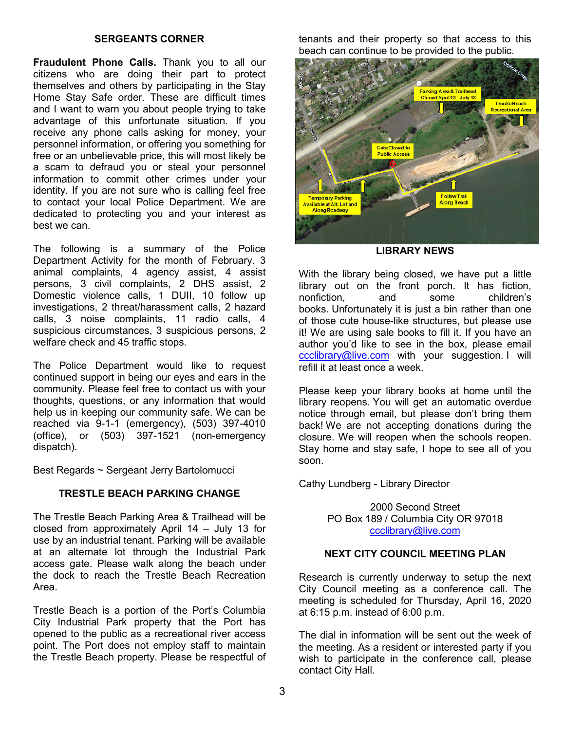#### **SERGEANTS CORNER**

**Fraudulent Phone Calls.** Thank you to all our citizens who are doing their part to protect themselves and others by participating in the Stay Home Stay Safe order. These are difficult times and I want to warn you about people trying to take advantage of this unfortunate situation. If you receive any phone calls asking for money, your personnel information, or offering you something for free or an unbelievable price, this will most likely be a scam to defraud you or steal your personnel information to commit other crimes under your identity. If you are not sure who is calling feel free to contact your local Police Department. We are dedicated to protecting you and your interest as best we can.

The following is a summary of the Police Department Activity for the month of February. 3 animal complaints, 4 agency assist, 4 assist persons, 3 civil complaints, 2 DHS assist, 2 Domestic violence calls, 1 DUII, 10 follow up investigations, 2 threat/harassment calls, 2 hazard calls, 3 noise complaints, 11 radio calls, 4 suspicious circumstances, 3 suspicious persons, 2 welfare check and 45 traffic stops.

The Police Department would like to request continued support in being our eyes and ears in the community. Please feel free to contact us with your thoughts, questions, or any information that would help us in keeping our community safe. We can be reached via 9-1-1 (emergency), (503) 397-4010 (office), or (503) 397-1521 (non-emergency dispatch).

Best Regards ~ Sergeant Jerry Bartolomucci

#### **TRESTLE BEACH PARKING CHANGE**

The Trestle Beach Parking Area & Trailhead will be closed from approximately April 14 – July 13 for use by an industrial tenant. Parking will be available at an alternate lot through the Industrial Park access gate. Please walk along the beach under the dock to reach the Trestle Beach Recreation Area.

Trestle Beach is a portion of the Port's Columbia City Industrial Park property that the Port has opened to the public as a recreational river access point. The Port does not employ staff to maintain the Trestle Beach property. Please be respectful of tenants and their property so that access to this beach can continue to be provided to the public.



**LIBRARY NEWS**

With the library being closed, we have put a little library out on the front porch. It has fiction, nonfiction, and some children's books. Unfortunately it is just a bin rather than one of those cute house-like structures, but please use it! We are using sale books to fill it. If you have an author you'd like to see in the box, please email ccclibrary@live.com with your suggestion. I will refill it at least once a week.

Please keep your library books at home until the library reopens. You will get an automatic overdue notice through email, but please don't bring them back! We are not accepting donations during the closure. We will reopen when the schools reopen. Stay home and stay safe, I hope to see all of you soon.

Cathy Lundberg - Library Director

2000 Second Street PO Box 189 / Columbia City OR 97018 ccclibrary@live.com

#### **NEXT CITY COUNCIL MEETING PLAN**

Research is currently underway to setup the next City Council meeting as a conference call. The meeting is scheduled for Thursday, April 16, 2020 at 6:15 p.m. instead of 6:00 p.m.

The dial in information will be sent out the week of the meeting. As a resident or interested party if you wish to participate in the conference call, please contact City Hall.